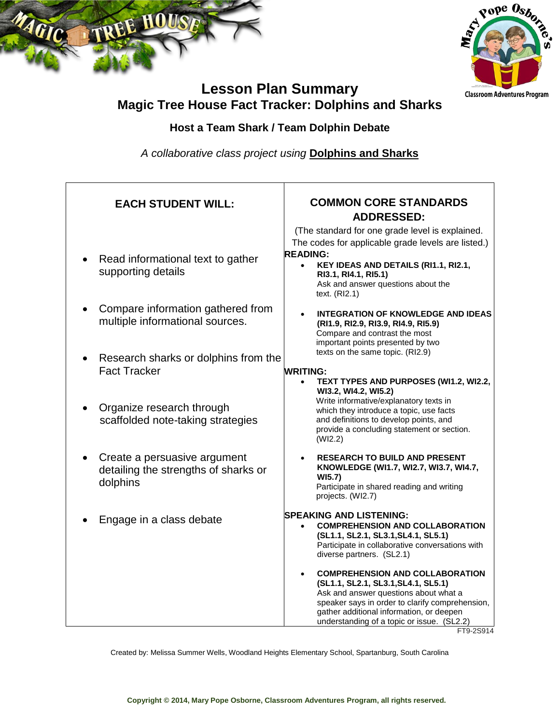



# **Lesson Plan Summary Magic Tree House Fact Tracker: Dolphins and Sharks**

## **Host a Team Shark / Team Dolphin Debate**

*A collaborative class project using* **Dolphins and Sharks**

| <b>EACH STUDENT WILL:</b>                                                        | <b>COMMON CORE STANDARDS</b><br><b>ADDRESSED:</b>                                                                                                                                                                                                                                |  |  |
|----------------------------------------------------------------------------------|----------------------------------------------------------------------------------------------------------------------------------------------------------------------------------------------------------------------------------------------------------------------------------|--|--|
| Read informational text to gather<br>supporting details                          | (The standard for one grade level is explained.<br>The codes for applicable grade levels are listed.)<br><b>READING:</b><br>KEY IDEAS AND DETAILS (RI1.1, RI2.1,<br>$\bullet$<br>RI3.1, RI4.1, RI5.1)<br>Ask and answer questions about the<br>text. $(RI2.1)$                   |  |  |
| Compare information gathered from<br>multiple informational sources.             | <b>INTEGRATION OF KNOWLEDGE AND IDEAS</b><br>(RI1.9, RI2.9, RI3.9, RI4.9, RI5.9)<br>Compare and contrast the most<br>important points presented by two                                                                                                                           |  |  |
| Research sharks or dolphins from the<br><b>Fact Tracker</b>                      | texts on the same topic. (RI2.9)<br>WRITING:<br>TEXT TYPES AND PURPOSES (WI1.2, WI2.2,<br>WI3.2, WI4.2, WI5.2)                                                                                                                                                                   |  |  |
| Organize research through<br>scaffolded note-taking strategies                   | Write informative/explanatory texts in<br>which they introduce a topic, use facts<br>and definitions to develop points, and<br>provide a concluding statement or section.<br>(WI2.2)                                                                                             |  |  |
| Create a persuasive argument<br>detailing the strengths of sharks or<br>dolphins | <b>RESEARCH TO BUILD AND PRESENT</b><br>KNOWLEDGE (WI1.7, WI2.7, WI3.7, WI4.7,<br>WI5.7)<br>Participate in shared reading and writing<br>projects. (WI2.7)                                                                                                                       |  |  |
| Engage in a class debate                                                         | <b>SPEAKING AND LISTENING:</b><br><b>COMPREHENSION AND COLLABORATION</b><br>(SL1.1, SL2.1, SL3.1, SL4.1, SL5.1)<br>Participate in collaborative conversations with<br>diverse partners. (SL2.1)                                                                                  |  |  |
|                                                                                  | <b>COMPREHENSION AND COLLABORATION</b><br>(SL1.1, SL2.1, SL3.1, SL4.1, SL5.1)<br>Ask and answer questions about what a<br>speaker says in order to clarify comprehension,<br>gather additional information, or deepen<br>understanding of a topic or issue. (SL2.2)<br>FT9-2S914 |  |  |

Created by: Melissa Summer Wells, Woodland Heights Elementary School, Spartanburg, South Carolina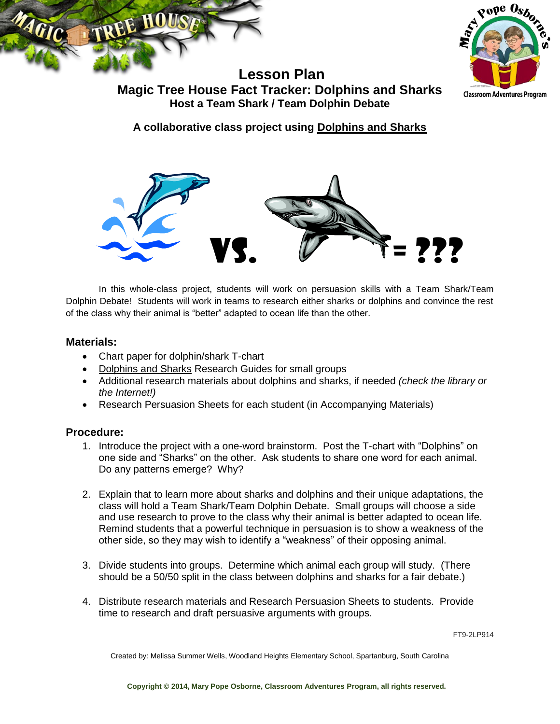



**Lesson Plan Magic Tree House Fact Tracker: Dolphins and Sharks Host a Team Shark / Team Dolphin Debate**

**A collaborative class project using Dolphins and Sharks**



In this whole-class project, students will work on persuasion skills with a Team Shark/Team Dolphin Debate! Students will work in teams to research either sharks or dolphins and convince the rest of the class why their animal is "better" adapted to ocean life than the other.

#### **Materials:**

- Chart paper for dolphin/shark T-chart
- Dolphins and Sharks Research Guides for small groups
- Additional research materials about dolphins and sharks, if needed *(check the library or the Internet!)*
- Research Persuasion Sheets for each student (in Accompanying Materials)

#### **Procedure:**

- 1. Introduce the project with a one-word brainstorm. Post the T-chart with "Dolphins" on one side and "Sharks" on the other. Ask students to share one word for each animal. Do any patterns emerge? Why?
- 2. Explain that to learn more about sharks and dolphins and their unique adaptations, the class will hold a Team Shark/Team Dolphin Debate. Small groups will choose a side and use research to prove to the class why their animal is better adapted to ocean life. Remind students that a powerful technique in persuasion is to show a weakness of the other side, so they may wish to identify a "weakness" of their opposing animal.
- 3. Divide students into groups. Determine which animal each group will study. (There should be a 50/50 split in the class between dolphins and sharks for a fair debate.)
- 4. Distribute research materials and Research Persuasion Sheets to students. Provide time to research and draft persuasive arguments with groups.

FT9-2LP914

Created by: Melissa Summer Wells, Woodland Heights Elementary School, Spartanburg, South Carolina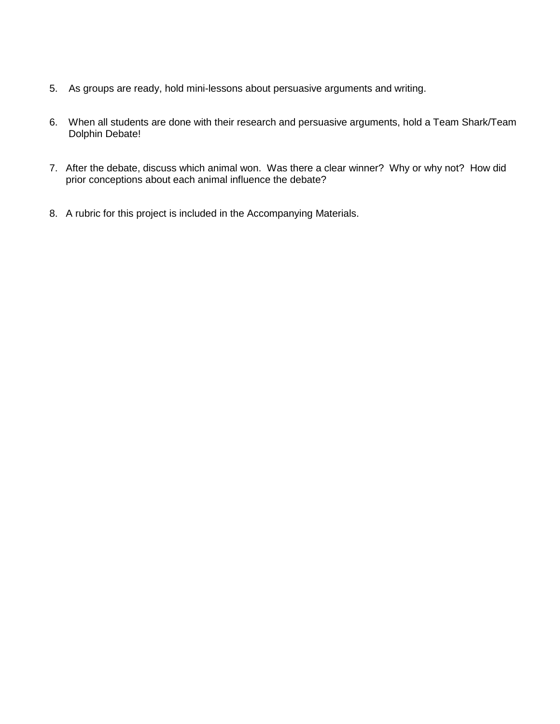- 5. As groups are ready, hold mini-lessons about persuasive arguments and writing.
- 6. When all students are done with their research and persuasive arguments, hold a Team Shark/Team Dolphin Debate!
- 7. After the debate, discuss which animal won. Was there a clear winner? Why or why not? How did prior conceptions about each animal influence the debate?
- 8. A rubric for this project is included in the Accompanying Materials.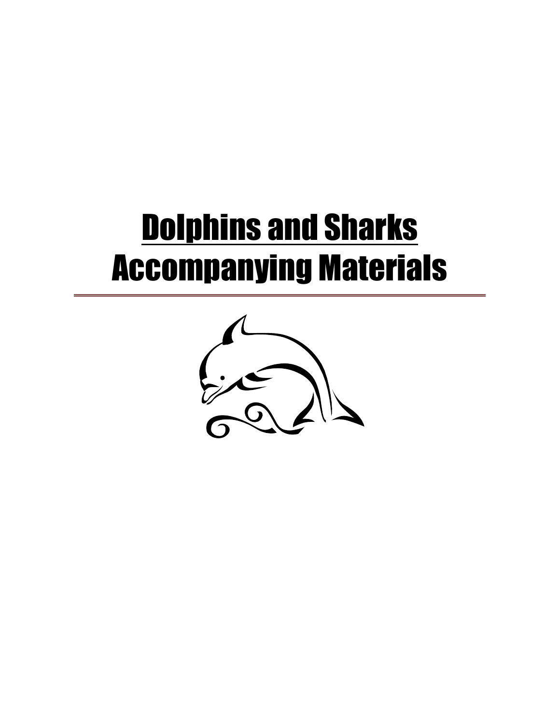# **Dolphins and Sharks** Accompanying Materials

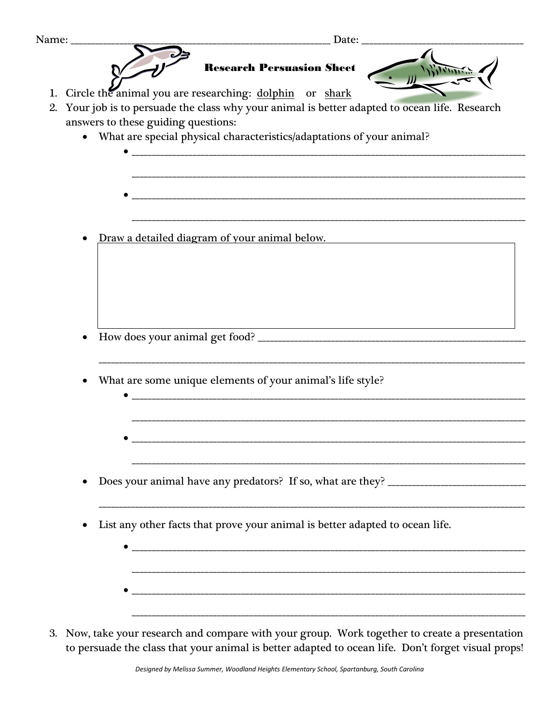| Name: ________                                                                                                                                         |
|--------------------------------------------------------------------------------------------------------------------------------------------------------|
| <b>Research Persuasion Sheet</b>                                                                                                                       |
| Circle the animal you are researching: dolphin or shark<br>Your job is to persuade the class why your animal is better adapted to ocean life. Research |
| answers to these guiding questions:<br>• What are special physical characteristics/adaptations of your animal?                                         |
|                                                                                                                                                        |
|                                                                                                                                                        |
| Draw a detailed diagram of your animal below.                                                                                                          |
|                                                                                                                                                        |
|                                                                                                                                                        |
|                                                                                                                                                        |
| What are some unique elements of your animal's life style?                                                                                             |
|                                                                                                                                                        |
|                                                                                                                                                        |
|                                                                                                                                                        |
| List any other facts that prove your animal is better adapted to ocean life.                                                                           |
|                                                                                                                                                        |
|                                                                                                                                                        |
|                                                                                                                                                        |

3. Now, take your research and compare with your group. Work together to create a presentation to persuade the class that your animal is better adapted to ocean life. Don't forget visual props!